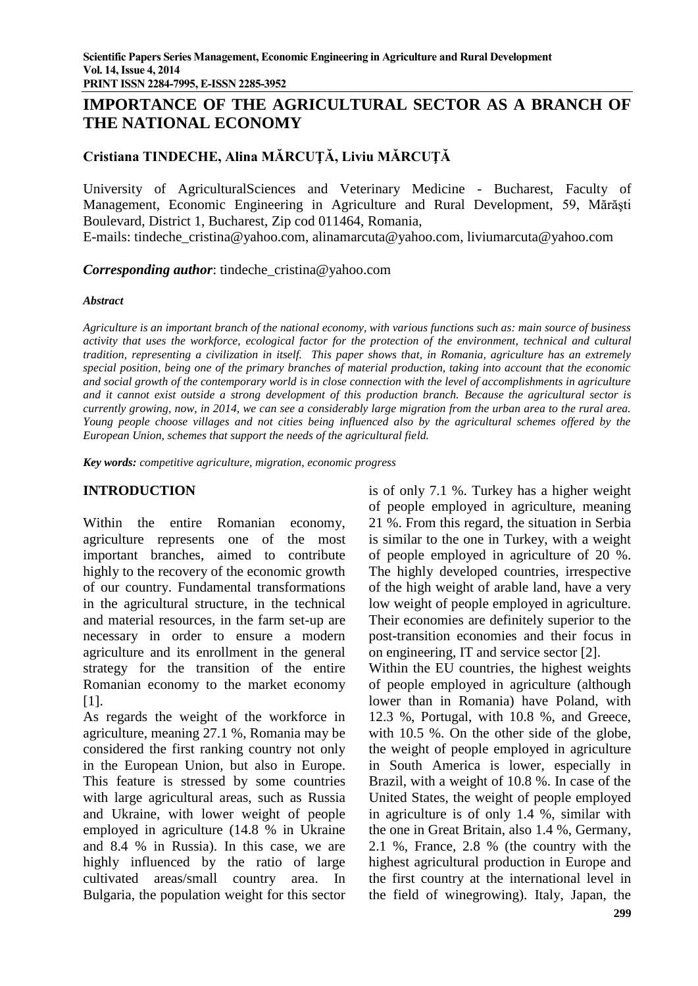# **IMPORTANCE OF THE AGRICULTURAL SECTOR AS A BRANCH OF THE NATIONAL ECONOMY**

## **Cristiana TINDECHE, Alina MĂRCUŢĂ, Liviu MĂRCUŢĂ**

University of AgriculturalSciences and Veterinary Medicine - Bucharest, Faculty of Management, Economic Engineering in Agriculture and Rural Development, 59, Mărăşti Boulevard, District 1, Bucharest, Zip cod 011464, Romania,

E-mails: [tindeche\\_cristina@yahoo.com,](mailto:tindeche_cristina@yahoo.com) [alinamarcuta@yahoo.com,](mailto:alinamarcuta@yahoo.com) [liviumarcuta@yahoo.com](mailto:liviumarcuta@yahoo.com)

*Corresponding author*: [tindeche\\_cristina@yahoo.com](mailto:tindeche_cristina@yahoo.com)

#### *Abstract*

*Agriculture is an important branch of the national economy, with various functions such as: main source of business activity that uses the workforce, ecological factor for the protection of the environment, technical and cultural tradition, representing a civilization in itself. This paper shows that, in Romania, agriculture has an extremely special position, being one of the primary branches of material production, taking into account that the economic and social growth of the contemporary world is in close connection with the level of accomplishments in agriculture and it cannot exist outside a strong development of this production branch. Because the agricultural sector is currently growing, now, in 2014, we can see a considerably large migration from the urban area to the rural area. Young people choose villages and not cities being influenced also by the agricultural schemes offered by the European Union, schemes that support the needs of the agricultural field.* 

*Key words: competitive agriculture, migration, economic progress*

#### **INTRODUCTION**

Within the entire Romanian economy, agriculture represents one of the most important branches, aimed to contribute highly to the recovery of the economic growth of our country. Fundamental transformations in the agricultural structure, in the technical and material resources, in the farm set-up are necessary in order to ensure a modern agriculture and its enrollment in the general strategy for the transition of the entire Romanian economy to the market economy [1].

As regards the weight of the workforce in agriculture, meaning 27.1 %, Romania may be considered the first ranking country not only in the European Union, but also in Europe. This feature is stressed by some countries with large agricultural areas, such as Russia and Ukraine, with lower weight of people employed in agriculture (14.8 % in Ukraine and 8.4 % in Russia). In this case, we are highly influenced by the ratio of large cultivated areas/small country area. In Bulgaria, the population weight for this sector is of only 7.1 %. Turkey has a higher weight of people employed in agriculture, meaning 21 %. From this regard, the situation in Serbia is similar to the one in Turkey, with a weight of people employed in agriculture of 20 %. The highly developed countries, irrespective of the high weight of arable land, have a very low weight of people employed in agriculture. Their economies are definitely superior to the post-transition economies and their focus in on engineering, IT and service sector [2]. Within the EU countries, the highest weights of people employed in agriculture (although lower than in Romania) have Poland, with 12.3 %, Portugal, with 10.8 %, and Greece, with 10.5 %. On the other side of the globe, the weight of people employed in agriculture in South America is lower, especially in Brazil, with a weight of 10.8 %. In case of the United States, the weight of people employed in agriculture is of only 1.4 %, similar with the one in Great Britain, also 1.4 %, Germany, 2.1 %, France, 2.8 % (the country with the highest agricultural production in Europe and the first country at the international level in the field of winegrowing). Italy, Japan, the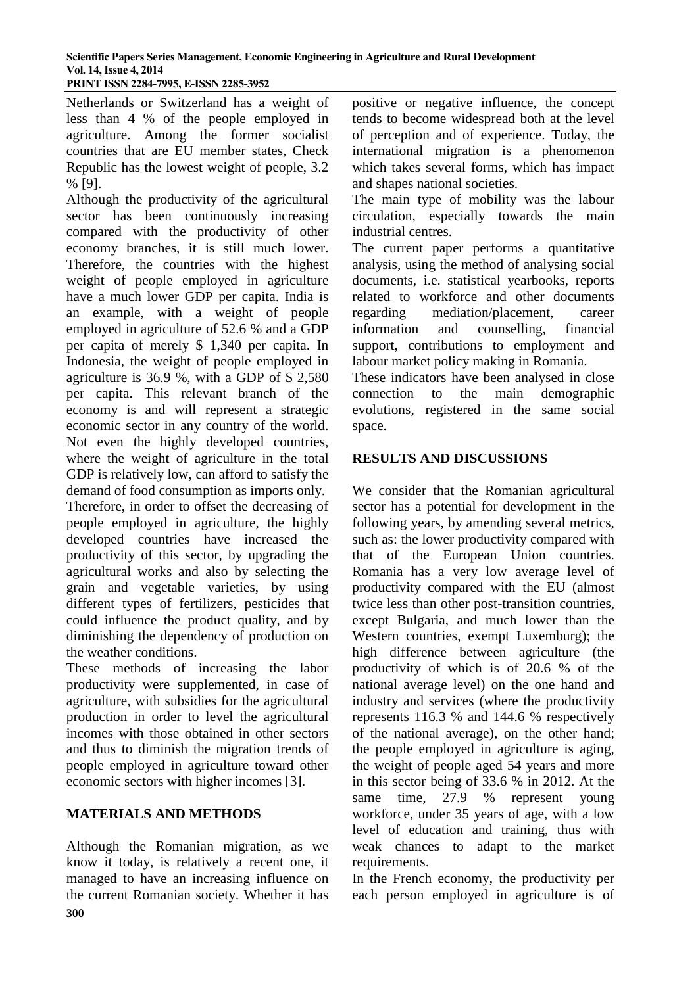Netherlands or Switzerland has a weight of less than 4 % of the people employed in agriculture. Among the former socialist countries that are EU member states, Check Republic has the lowest weight of people, 3.2 % [9].

Although the productivity of the agricultural sector has been continuously increasing compared with the productivity of other economy branches, it is still much lower. Therefore, the countries with the highest weight of people employed in agriculture have a much lower GDP per capita. India is an example, with a weight of people employed in agriculture of 52.6 % and a GDP per capita of merely \$ 1,340 per capita. In Indonesia, the weight of people employed in agriculture is 36.9 %, with a GDP of \$ 2,580 per capita. This relevant branch of the economy is and will represent a strategic economic sector in any country of the world. Not even the highly developed countries, where the weight of agriculture in the total GDP is relatively low, can afford to satisfy the demand of food consumption as imports only. Therefore, in order to offset the decreasing of people employed in agriculture, the highly developed countries have increased the productivity of this sector, by upgrading the agricultural works and also by selecting the grain and vegetable varieties, by using different types of fertilizers, pesticides that could influence the product quality, and by diminishing the dependency of production on the weather conditions.

These methods of increasing the labor productivity were supplemented, in case of agriculture, with subsidies for the agricultural production in order to level the agricultural incomes with those obtained in other sectors and thus to diminish the migration trends of people employed in agriculture toward other economic sectors with higher incomes [3].

# **MATERIALS AND METHODS**

Although the Romanian migration, as we know it today, is relatively a recent one, it managed to have an increasing influence on the current Romanian society. Whether it has positive or negative influence, the concept tends to become widespread both at the level of perception and of experience. Today, the international migration is a phenomenon which takes several forms, which has impact and shapes national societies.

The main type of mobility was the labour circulation, especially towards the main industrial centres.

The current paper performs a quantitative analysis, using the method of analysing social documents, i.e. statistical yearbooks, reports related to workforce and other documents regarding mediation/placement, career information and counselling, financial support, contributions to employment and labour market policy making in Romania.

These indicators have been analysed in close connection to the main demographic evolutions, registered in the same social space.

### **RESULTS AND DISCUSSIONS**

We consider that the Romanian agricultural sector has a potential for development in the following years, by amending several metrics, such as: the lower productivity compared with that of the European Union countries. Romania has a very low average level of productivity compared with the EU (almost twice less than other post-transition countries, except Bulgaria, and much lower than the Western countries, exempt Luxemburg); the high difference between agriculture (the productivity of which is of 20.6 % of the national average level) on the one hand and industry and services (where the productivity represents 116.3 % and 144.6 % respectively of the national average), on the other hand; the people employed in agriculture is aging, the weight of people aged 54 years and more in this sector being of 33.6 % in 2012. At the same time, 27.9 % represent young workforce, under 35 years of age, with a low level of education and training, thus with weak chances to adapt to the market requirements.

In the French economy, the productivity per each person employed in agriculture is of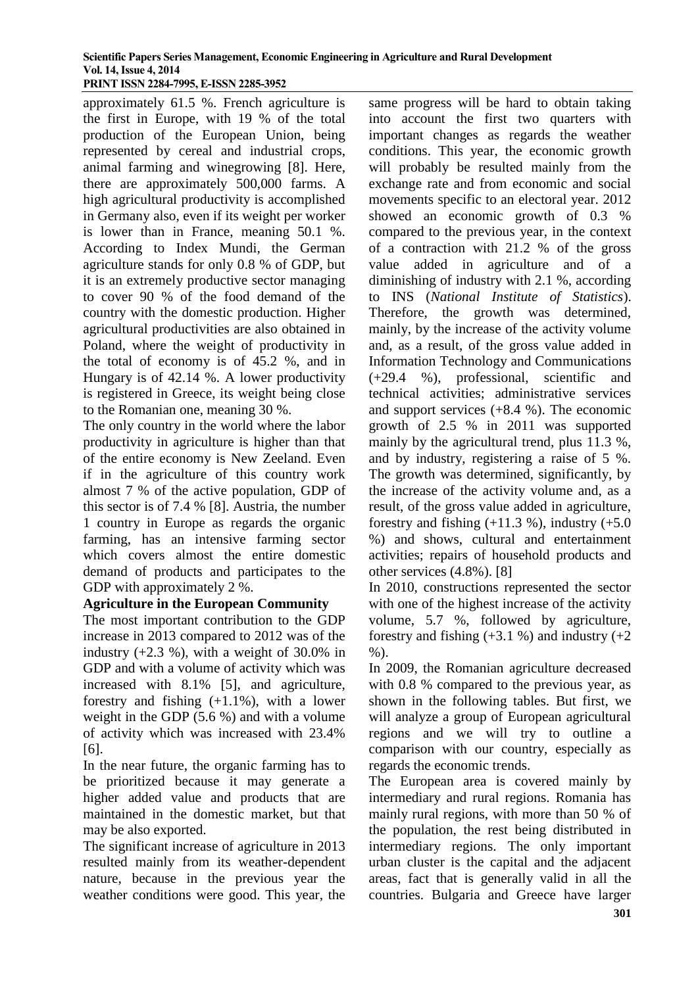#### **Scientific Papers Series Management, Economic Engineering in Agriculture and Rural Development Vol. 14, Issue 4, 2014 PRINT ISSN 2284-7995, E-ISSN 2285-3952**

approximately 61.5 %. French agriculture is the first in Europe, with 19 % of the total production of the European Union, being represented by cereal and industrial crops, animal farming and winegrowing [8]. Here, there are approximately 500,000 farms. A high agricultural productivity is accomplished in Germany also, even if its weight per worker is lower than in France, meaning 50.1 %. According to Index Mundi, the German agriculture stands for only 0.8 % of GDP, but it is an extremely productive sector managing to cover 90 % of the food demand of the country with the domestic production. Higher agricultural productivities are also obtained in Poland, where the weight of productivity in the total of economy is of 45.2 %, and in Hungary is of 42.14 %. A lower productivity is registered in Greece, its weight being close to the Romanian one, meaning 30 %.

The only country in the world where the labor productivity in agriculture is higher than that of the entire economy is New Zeeland. Even if in the agriculture of this country work almost 7 % of the active population, GDP of this sector is of 7.4 % [8]. Austria, the number 1 country in Europe as regards the organic farming, has an intensive farming sector which covers almost the entire domestic demand of products and participates to the GDP with approximately 2 %.

### **Agriculture in the European Community**

The most important contribution to the GDP increase in 2013 compared to 2012 was of the industry  $(+2.3 \%)$ , with a weight of 30.0% in GDP and with a volume of activity which was increased with 8.1% [5], and agriculture, forestry and fishing (+1.1%), with a lower weight in the GDP (5.6 %) and with a volume of activity which was increased with 23.4% [6].

In the near future, the organic farming has to be prioritized because it may generate a higher added value and products that are maintained in the domestic market, but that may be also exported.

The significant increase of agriculture in 2013 resulted mainly from its weather-dependent nature, because in the previous year the weather conditions were good. This year, the same progress will be hard to obtain taking into account the first two quarters with important changes as regards the weather conditions. This year, the economic growth will probably be resulted mainly from the exchange rate and from economic and social movements specific to an electoral year. 2012 showed an economic growth of 0.3 % compared to the previous year, in the context of a contraction with 21.2 % of the gross value added in agriculture and of a diminishing of industry with 2.1 %, according to INS (*National Institute of Statistics*). Therefore, the growth was determined, mainly, by the increase of the activity volume and, as a result, of the gross value added in Information Technology and Communications (+29.4 %), professional, scientific and technical activities; administrative services and support services (+8.4 %). The economic growth of 2.5 % in 2011 was supported mainly by the agricultural trend, plus 11.3 %, and by industry, registering a raise of 5 %. The growth was determined, significantly, by the increase of the activity volume and, as a result, of the gross value added in agriculture, forestry and fishing  $(+11.3 \%)$ , industry  $(+5.0 \)$ %) and shows, cultural and entertainment activities; repairs of household products and other services (4.8%). [8]

In 2010, constructions represented the sector with one of the highest increase of the activity volume, 5.7 %, followed by agriculture, forestry and fishing  $(+3.1\%)$  and industry  $(+2$ %).

In 2009, the Romanian agriculture decreased with 0.8 % compared to the previous year, as shown in the following tables. But first, we will analyze a group of European agricultural regions and we will try to outline a comparison with our country, especially as regards the economic trends.

The European area is covered mainly by intermediary and rural regions. Romania has mainly rural regions, with more than 50 % of the population, the rest being distributed in intermediary regions. The only important urban cluster is the capital and the adjacent areas, fact that is generally valid in all the countries. Bulgaria and Greece have larger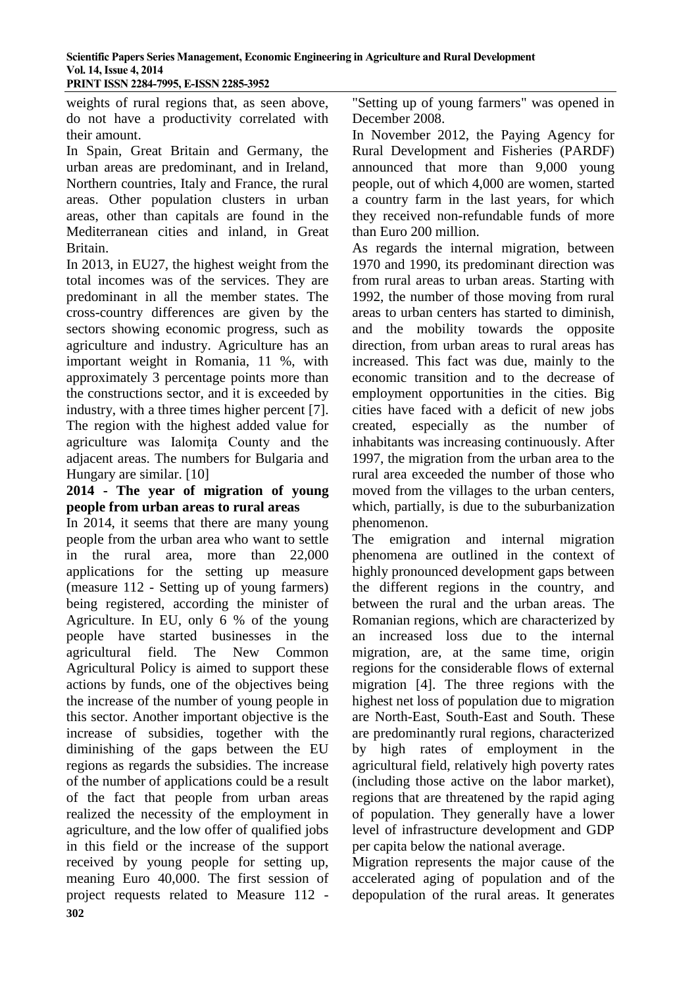weights of rural regions that, as seen above, do not have a productivity correlated with their amount.

In Spain, Great Britain and Germany, the urban areas are predominant, and in Ireland, Northern countries, Italy and France, the rural areas. Other population clusters in urban areas, other than capitals are found in the Mediterranean cities and inland, in Great Britain.

In 2013, in EU27, the highest weight from the total incomes was of the services. They are predominant in all the member states. The cross-country differences are given by the sectors showing economic progress, such as agriculture and industry. Agriculture has an important weight in Romania, 11 %, with approximately 3 percentage points more than the constructions sector, and it is exceeded by industry, with a three times higher percent [7]. The region with the highest added value for agriculture was Ialomita County and the adjacent areas. The numbers for Bulgaria and Hungary are similar. [10]

### **2014 - The year of migration of young people from urban areas to rural areas**

**302** In 2014, it seems that there are many young people from the urban area who want to settle in the rural area, more than 22,000 applications for the setting up measure (measure 112 - Setting up of young farmers) being registered, according the minister of Agriculture. In EU, only 6 % of the young people have started businesses in the agricultural field. The New Common Agricultural Policy is aimed to support these actions by funds, one of the objectives being the increase of the number of young people in this sector. Another important objective is the increase of subsidies, together with the diminishing of the gaps between the EU regions as regards the subsidies. The increase of the number of applications could be a result of the fact that people from urban areas realized the necessity of the employment in agriculture, and the low offer of qualified jobs in this field or the increase of the support received by young people for setting up, meaning Euro 40,000. The first session of project requests related to Measure 112 -

"Setting up of young farmers" was opened in December 2008.

In November 2012, the Paying Agency for Rural Development and Fisheries (PARDF) announced that more than 9,000 young people, out of which 4,000 are women, started a country farm in the last years, for which they received non-refundable funds of more than Euro 200 million.

As regards the internal migration, between 1970 and 1990, its predominant direction was from rural areas to urban areas. Starting with 1992, the number of those moving from rural areas to urban centers has started to diminish, and the mobility towards the opposite direction, from urban areas to rural areas has increased. This fact was due, mainly to the economic transition and to the decrease of employment opportunities in the cities. Big cities have faced with a deficit of new jobs created, especially as the number of inhabitants was increasing continuously. After 1997, the migration from the urban area to the rural area exceeded the number of those who moved from the villages to the urban centers, which, partially, is due to the suburbanization phenomenon.

The emigration and internal migration phenomena are outlined in the context of highly pronounced development gaps between the different regions in the country, and between the rural and the urban areas. The Romanian regions, which are characterized by an increased loss due to the internal migration, are, at the same time, origin regions for the considerable flows of external migration [4]. The three regions with the highest net loss of population due to migration are North-East, South-East and South. These are predominantly rural regions, characterized by high rates of employment in the agricultural field, relatively high poverty rates (including those active on the labor market), regions that are threatened by the rapid aging of population. They generally have a lower level of infrastructure development and GDP per capita below the national average.

Migration represents the major cause of the accelerated aging of population and of the depopulation of the rural areas. It generates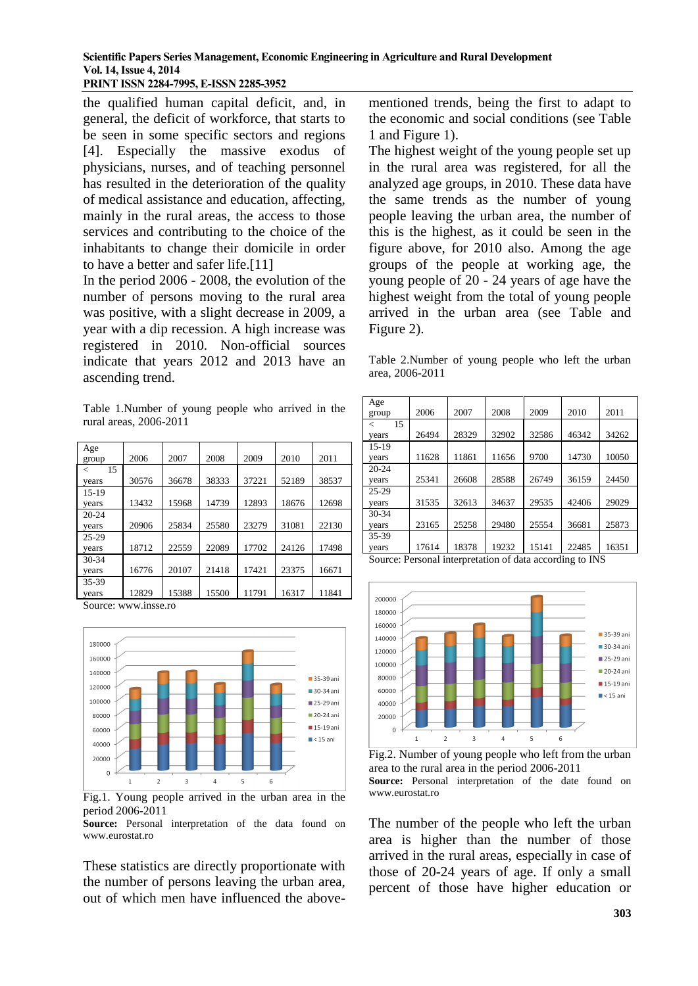### **Scientific Papers Series Management, Economic Engineering in Agriculture and Rural Development Vol. 14, Issue 4, 2014**

#### **PRINT ISSN 2284-7995, E-ISSN 2285-3952**

the qualified human capital deficit, and, in general, the deficit of workforce, that starts to be seen in some specific sectors and regions [4]. Especially the massive exodus of physicians, nurses, and of teaching personnel has resulted in the deterioration of the quality of medical assistance and education, affecting, mainly in the rural areas, the access to those services and contributing to the choice of the inhabitants to change their domicile in order to have a better and safer life.[11]

In the period 2006 - 2008, the evolution of the number of persons moving to the rural area was positive, with a slight decrease in 2009, a year with a dip recession. A high increase was registered in 2010. Non-official sources indicate that years 2012 and 2013 have an ascending trend.

Table 1.Number of young people who arrived in the rural areas, 2006-2011

| Age<br>group  | 2006  | 2007  | 2008  | 2009  | 2010  | 2011  |
|---------------|-------|-------|-------|-------|-------|-------|
| 15<br>$\,<\,$ |       |       |       |       |       |       |
| years         | 30576 | 36678 | 38333 | 37221 | 52189 | 38537 |
| $15-19$       |       |       |       |       |       |       |
| years         | 13432 | 15968 | 14739 | 12893 | 18676 | 12698 |
| 20-24         |       |       |       |       |       |       |
| years         | 20906 | 25834 | 25580 | 23279 | 31081 | 22130 |
| 25-29         |       |       |       |       |       |       |
| years         | 18712 | 22559 | 22089 | 17702 | 24126 | 17498 |
| $30 - 34$     |       |       |       |       |       |       |
| years         | 16776 | 20107 | 21418 | 17421 | 23375 | 16671 |
| 35-39         |       |       |       |       |       |       |
| vears         | 12829 | 15388 | 15500 | 11791 | 16317 | 11841 |

Source[: www.insse.ro](http://www.insse.ro/)



Fig.1. Young people arrived in the urban area in the period 2006-2011

**Source:** Personal interpretation of the data found on [www.eurostat.ro](http://www.eurostat.ro/)

These statistics are directly proportionate with the number of persons leaving the urban area, out of which men have influenced the abovementioned trends, being the first to adapt to the economic and social conditions (see Table 1 and Figure 1).

The highest weight of the young people set up in the rural area was registered, for all the analyzed age groups, in 2010. These data have the same trends as the number of young people leaving the urban area, the number of this is the highest, as it could be seen in the figure above, for 2010 also. Among the age groups of the people at working age, the young people of 20 - 24 years of age have the highest weight from the total of young people arrived in the urban area (see Table and Figure 2).

Table 2.Number of young people who left the urban area, 2006-2011

| Age<br>group                                                                              | 2006  | 2007  | 2008  | 2009  | 2010  | 2011  |  |  |
|-------------------------------------------------------------------------------------------|-------|-------|-------|-------|-------|-------|--|--|
| 15<br>$\,<\,$                                                                             |       |       |       |       |       |       |  |  |
| years                                                                                     | 26494 | 28329 | 32902 | 32586 | 46342 | 34262 |  |  |
| $15-19$                                                                                   |       |       |       |       |       |       |  |  |
| years                                                                                     | 11628 | 11861 | 11656 | 9700  | 14730 | 10050 |  |  |
| $20 - 24$                                                                                 |       |       |       |       |       |       |  |  |
| years                                                                                     | 25341 | 26608 | 28588 | 26749 | 36159 | 24450 |  |  |
| 25-29                                                                                     |       |       |       |       |       |       |  |  |
| vears                                                                                     | 31535 | 32613 | 34637 | 29535 | 42406 | 29029 |  |  |
| 30-34                                                                                     |       |       |       |       |       |       |  |  |
| vears                                                                                     | 23165 | 25258 | 29480 | 25554 | 36681 | 25873 |  |  |
| 35-39                                                                                     |       |       |       |       |       |       |  |  |
| years                                                                                     | 17614 | 18378 | 19232 | 15141 | 22485 | 16351 |  |  |
| Decoral interpretation of data according to INC<br>$\mathcal{R}_{\Omega^{11} \Omega^{0}}$ |       |       |       |       |       |       |  |  |

of data according to INS



Fig.2. Number of young people who left from the urban area to the rural area in the period 2006-2011 **Source:** Personal interpretation of the date found on [www.eurostat.ro](http://www.eurostat.ro/)

The number of the people who left the urban area is higher than the number of those arrived in the rural areas, especially in case of those of 20-24 years of age. If only a small percent of those have higher education or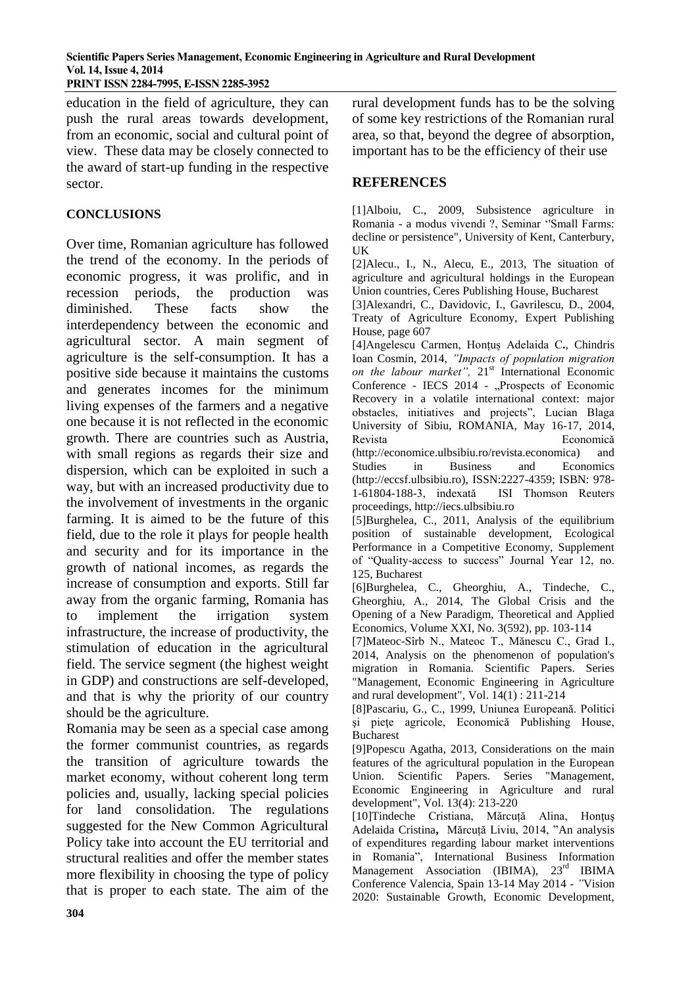#### **Scientific Papers Series Management, Economic Engineering in Agriculture and Rural Development Vol. 14, Issue 4, 2014 PRINT ISSN 2284-7995, E-ISSN 2285-3952**

education in the field of agriculture, they can push the rural areas towards development, from an economic, social and cultural point of view. These data may be closely connected to the award of start-up funding in the respective sector.

#### **CONCLUSIONS**

Over time, Romanian agriculture has followed the trend of the economy. In the periods of economic progress, it was prolific, and in recession periods, the production was diminished. These facts show the interdependency between the economic and agricultural sector. A main segment of agriculture is the self-consumption. It has a positive side because it maintains the customs and generates incomes for the minimum living expenses of the farmers and a negative one because it is not reflected in the economic growth. There are countries such as Austria, with small regions as regards their size and dispersion, which can be exploited in such a way, but with an increased productivity due to the involvement of investments in the organic farming. It is aimed to be the future of this field, due to the role it plays for people health and security and for its importance in the growth of national incomes, as regards the increase of consumption and exports. Still far away from the organic farming, Romania has to implement the irrigation system infrastructure, the increase of productivity, the stimulation of education in the agricultural field. The service segment (the highest weight in GDP) and constructions are self-developed, and that is why the priority of our country should be the agriculture.

Romania may be seen as a special case among the former communist countries, as regards the transition of agriculture towards the market economy, without coherent long term policies and, usually, lacking special policies for land consolidation. The regulations suggested for the New Common Agricultural Policy take into account the EU territorial and structural realities and offer the member states more flexibility in choosing the type of policy that is proper to each state. The aim of the rural development funds has to be the solving of some key restrictions of the Romanian rural area, so that, beyond the degree of absorption, important has to be the efficiency of their use

#### **REFERENCES**

[1]Alboiu, C., 2009, Subsistence agriculture in Romania - a modus vivendi ?, Seminar ''Small Farms: decline or persistence", University of Kent, Canterbury, UK

[2]Alecu., I., N., Alecu, E., 2013, The situation of agriculture and agricultural holdings in the European Union countries, Ceres Publishing House, Bucharest

[3]Alexandri, C., Davidovic, I., Gavrilescu, D., 2004, Treaty of Agriculture Economy, Expert Publishing House, page 607

[4]Angelescu Carmen, Honțuș Adelaida C**.**, Chindris Ioan Cosmin, 2014, *"Impacts of population migration on the labour market"*,  $21^{st}$  International Economic Conference - IECS 2014 - "Prospects of Economic Recovery in a volatile international context: major obstacles, initiatives and projects", Lucian Blaga University of Sibiu, ROMANIA, May 16-17, 2014, Revista Economică (http://economice.ulbsibiu.ro/revista.economica) and Studies in Business and Economics [\(http://eccsf.ulbsibiu.ro\)](http://eccsf.ulbsibiu.ro/), ISSN:2227-4359; ISBN: 978- 1-61804-188-3, indexată ISI Thomson Reuters proceedings, [http://iecs.ulbsibiu.ro](http://iecs.ulbsibiu.ro/)

[5]Burghelea, C., 2011, Analysis of the equilibrium position of sustainable development, Ecological Performance in a Competitive Economy, Supplement of "Quality-access to success" Journal Year 12, no. 125, Bucharest

[6]Burghelea, C., Gheorghiu, A., Tindeche, C., Gheorghiu, A., 2014, The Global Crisis and the Opening of a New Paradigm, Theoretical and Applied Economics, Volume XXI, No. 3(592), pp. 103-114

[7]Mateoc-Sîrb N., Mateoc T., Mănescu C., Grad I., 2014, Analysis on the phenomenon of population's migration in Romania. Scientific Papers. Series "Management, Economic Engineering in Agriculture and rural development", Vol. 14(1) : 211-214

[8]Pascariu, G., C., 1999, Uniunea Europeană. Politici şi pieţe agricole, Economică Publishing House, Bucharest

[9]Popescu Agatha, 2013, Considerations on the main features of the agricultural population in the European Union. Scientific Papers. Series "Management, Economic Engineering in Agriculture and rural development", Vol. 13(4): 213-220

[10]Tindeche Cristiana, Mărcuță Alina, Honțuș Adelaida Cristina**,** Mărcuță Liviu, 2014, "An analysis of expenditures regarding labour market interventions in Romania", International Business Information Management Association (IBIMA),  $23^{\text{rd}}$  IBIMA Conference Valencia, Spain 13-14 May 2014 *- "*Vision 2020: Sustainable Growth, Economic Development,